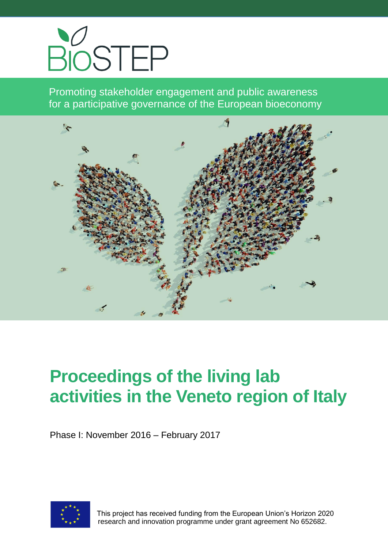

Promoting stakeholder engagement and public awareness for a participative governance of the European bioeconomy



# **Proceedings of the living lab activities in the Veneto region of Italy**

Phase I: November 2016 – February 2017



 This project has received funding from the European Union's Horizon 2020 research and innovation programme under grant agreement No 652682.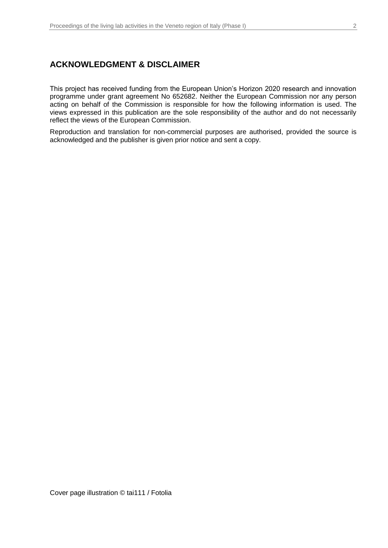### **ACKNOWLEDGMENT & DISCLAIMER**

This project has received funding from the European Union's Horizon 2020 research and innovation programme under grant agreement No 652682. Neither the European Commission nor any person acting on behalf of the Commission is responsible for how the following information is used. The views expressed in this publication are the sole responsibility of the author and do not necessarily reflect the views of the European Commission.

Reproduction and translation for non-commercial purposes are authorised, provided the source is acknowledged and the publisher is given prior notice and sent a copy.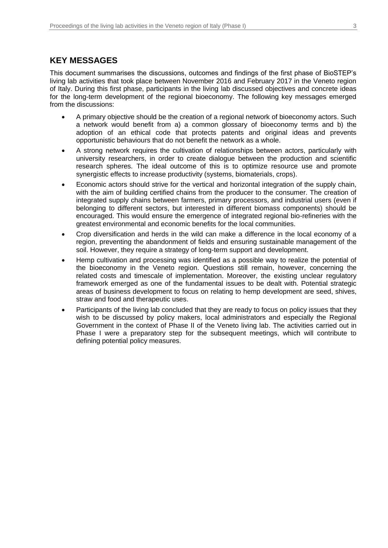### **KEY MESSAGES**

This document summarises the discussions, outcomes and findings of the first phase of BioSTEP's living lab activities that took place between November 2016 and February 2017 in the Veneto region of Italy. During this first phase, participants in the living lab discussed objectives and concrete ideas for the long-term development of the regional bioeconomy. The following key messages emerged from the discussions:

- A primary objective should be the creation of a regional network of bioeconomy actors. Such a network would benefit from a) a common glossary of bioeconomy terms and b) the adoption of an ethical code that protects patents and original ideas and prevents opportunistic behaviours that do not benefit the network as a whole.
- A strong network requires the cultivation of relationships between actors, particularly with university researchers, in order to create dialogue between the production and scientific research spheres. The ideal outcome of this is to optimize resource use and promote synergistic effects to increase productivity (systems, biomaterials, crops).
- Economic actors should strive for the vertical and horizontal integration of the supply chain, with the aim of building certified chains from the producer to the consumer. The creation of integrated supply chains between farmers, primary processors, and industrial users (even if belonging to different sectors, but interested in different biomass components) should be encouraged. This would ensure the emergence of integrated regional bio-refineries with the greatest environmental and economic benefits for the local communities.
- Crop diversification and herds in the wild can make a difference in the local economy of a region, preventing the abandonment of fields and ensuring sustainable management of the soil. However, they require a strategy of long-term support and development.
- Hemp cultivation and processing was identified as a possible way to realize the potential of the bioeconomy in the Veneto region. Questions still remain, however, concerning the related costs and timescale of implementation. Moreover, the existing unclear regulatory framework emerged as one of the fundamental issues to be dealt with. Potential strategic areas of business development to focus on relating to hemp development are seed, shives, straw and food and therapeutic uses.
- Participants of the living lab concluded that they are ready to focus on policy issues that they wish to be discussed by policy makers, local administrators and especially the Regional Government in the context of Phase II of the Veneto living lab. The activities carried out in Phase I were a preparatory step for the subsequent meetings, which will contribute to defining potential policy measures.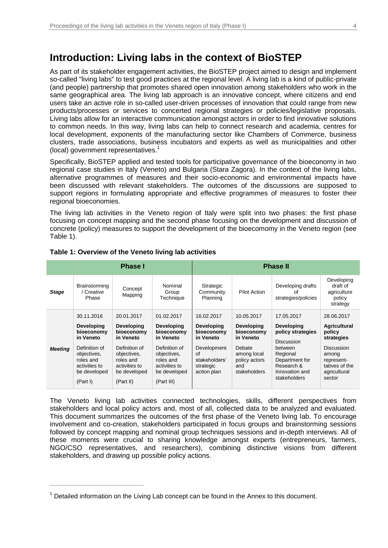## **Introduction: Living labs in the context of BioSTEP**

As part of its stakeholder engagement activities, the BioSTEP project aimed to design and implement so-called "living labs" to test good practices at the regional level. A living lab is a kind of public-private (and people) partnership that promotes shared open innovation among stakeholders who work in the same geographical area. The living lab approach is an innovative concept, where citizens and end users take an active role in so-called user-driven processes of innovation that could range from new products/processes or services to concerted regional strategies or policies/legislative proposals. Living labs allow for an interactive communication amongst actors in order to find innovative solutions to common needs. In this way, living labs can help to connect research and academia, centres for local development, exponents of the manufacturing sector like Chambers of Commerce, business clusters, trade associations, business incubators and experts as well as municipalities and other (local) government representatives.<sup>1</sup>

Specifically, BioSTEP applied and tested tools for participative governance of the bioeconomy in two regional case studies in Italy (Veneto) and Bulgaria (Stara Zagora). In the context of the living labs, alternative programmes of measures and their socio-economic and environmental impacts have been discussed with relevant stakeholders. The outcomes of the discussions are supposed to support regions in formulating appropriate and effective programmes of measures to foster their regional bioeconomies.

The living lab activities in the Veneto region of Italy were split into two phases: the first phase focusing on concept mapping and the second phase focusing on the development and discussion of concrete (policy) measures to support the development of the bioecomomy in the Veneto region (see Table 1).

|                | <b>Phase I</b>                                                                                                                                       |                                                                                                                                                       |                                                                                                                                                        | <b>Phase II</b>                                                                                                              |                                                                                                                      |                                                                                                                                                                    |                                                                                                                                                   |
|----------------|------------------------------------------------------------------------------------------------------------------------------------------------------|-------------------------------------------------------------------------------------------------------------------------------------------------------|--------------------------------------------------------------------------------------------------------------------------------------------------------|------------------------------------------------------------------------------------------------------------------------------|----------------------------------------------------------------------------------------------------------------------|--------------------------------------------------------------------------------------------------------------------------------------------------------------------|---------------------------------------------------------------------------------------------------------------------------------------------------|
| <b>Stage</b>   | Brainstorming<br><b>Creative</b><br>Phase                                                                                                            | Concept<br>Mapping                                                                                                                                    | Nominal<br>Group<br>Technique                                                                                                                          | Strategic<br>Community<br>Planning                                                                                           | <b>Pilot Action</b>                                                                                                  | Developing drafts<br>οf<br>strategies/policies                                                                                                                     | Developing<br>draft of<br>agriculture<br>policy<br>strategy                                                                                       |
| <b>Meeting</b> | 30.11.2016<br><b>Developing</b><br>bioeconomy<br>in Veneto<br>Definition of<br>objectives,<br>roles and<br>activities to<br>be developed<br>(Part I) | 20.01.2017<br><b>Developing</b><br>bioeconomy<br>in Veneto<br>Definition of<br>objectives,<br>roles and<br>activities to<br>be developed<br>(Part II) | 01.02.2017<br><b>Developing</b><br>bioeconomy<br>in Veneto<br>Definition of<br>objectives,<br>roles and<br>activities to<br>be developed<br>(Part III) | 16.02.2017<br><b>Developing</b><br>bioeconomy<br>in Veneto<br>Development<br>of<br>stakeholders'<br>strategic<br>action plan | 10.05.2017<br>Developing<br>bioeconomy<br>in Veneto<br>Debate<br>among local<br>policy actors<br>and<br>stakeholders | 17.05.2017<br><b>Developing</b><br>policy strategies<br><b>Discussion</b><br>between<br>Regional<br>Department for<br>Research &<br>Innovation and<br>stakeholders | 28.06.2017<br><b>Agricultural</b><br>policy<br>strategies<br><b>Discussion</b><br>among<br>represent-<br>tatives of the<br>agricultural<br>sector |

#### **Table 1: Overview of the Veneto living lab activities**

 $\overline{a}$ 

The Veneto living lab activities connected technologies, skills, different perspectives from stakeholders and local policy actors and, most of all, collected data to be analyzed and evaluated. This document summarizes the outcomes of the first phase of the Veneto living lab. To encourage involvement and co-creation, stakeholders participated in focus groups and brainstorming sessions followed by concept mapping and nominal group techniques sessions and in-depth interviews. All of these moments were crucial to sharing knowledge amongst experts (entrepreneurs, farmers, NGO/CSO representatives, and researchers), combining distinctive visions from different stakeholders, and drawing up possible policy actions.

 $<sup>1</sup>$  Detailed information on the Living Lab concept can be found in the Annex to this document.</sup>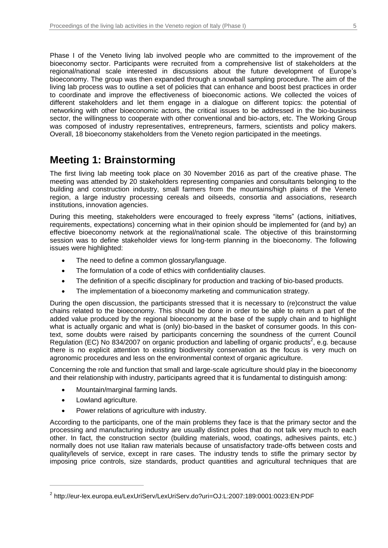Phase I of the Veneto living lab involved people who are committed to the improvement of the bioeconomy sector. Participants were recruited from a comprehensive list of stakeholders at the regional/national scale interested in discussions about the future development of Europe's bioeconomy. The group was then expanded through a snowball sampling procedure. The aim of the living lab process was to outline a set of policies that can enhance and boost best practices in order to coordinate and improve the effectiveness of bioeconomic actions. We collected the voices of different stakeholders and let them engage in a dialogue on different topics: the potential of networking with other bioeconomic actors, the critical issues to be addressed in the bio-business sector, the willingness to cooperate with other conventional and bio-actors, etc. The Working Group was composed of industry representatives, entrepreneurs, farmers, scientists and policy makers. Overall, 18 bioeconomy stakeholders from the Veneto region participated in the meetings.

# **Meeting 1: Brainstorming**

The first living lab meeting took place on 30 November 2016 as part of the creative phase. The meeting was attended by 20 stakeholders representing companies and consultants belonging to the building and construction industry, small farmers from the mountains/high plains of the Veneto region, a large industry processing cereals and oilseeds, consortia and associations, research institutions, innovation agencies.

During this meeting, stakeholders were encouraged to freely express "items" (actions, initiatives, requirements, expectations) concerning what in their opinion should be implemented for (and by) an effective bioeconomy network at the regional/national scale. The objective of this brainstorming session was to define stakeholder views for long-term planning in the bioeconomy. The following issues were highlighted:

- The need to define a common glossary/language.
- The formulation of a code of ethics with confidentiality clauses.
- The definition of a specific disciplinary for production and tracking of bio-based products.
- The implementation of a bioeconomy marketing and communication strategy.

During the open discussion, the participants stressed that it is necessary to (re)construct the value chains related to the bioeconomy. This should be done in order to be able to return a part of the added value produced by the regional bioeconomy at the base of the supply chain and to highlight what is actually organic and what is (only) bio-based in the basket of consumer goods. In this context, some doubts were raised by participants concerning the soundness of the current Council Regulation (EC) No 834/2007 on organic production and labelling of organic products<sup>2</sup>, e.g. because there is no explicit attention to existing biodiversity conservation as the focus is very much on agronomic procedures and less on the environmental context of organic agriculture.

Concerning the role and function that small and large-scale agriculture should play in the bioeconomy and their relationship with industry, participants agreed that it is fundamental to distinguish among:

- Mountain/marginal farming lands.
- Lowland agriculture.

 $\overline{a}$ 

Power relations of agriculture with industry.

According to the participants, one of the main problems they face is that the primary sector and the processing and manufacturing industry are usually distinct poles that do not talk very much to each other. In fact, the construction sector (building materials, wood, coatings, adhesives paints, etc.) normally does not use Italian raw materials because of unsatisfactory trade-offs between costs and quality/levels of service, except in rare cases. The industry tends to stifle the primary sector by imposing price controls, size standards, product quantities and agricultural techniques that are

<sup>2</sup> http://eur-lex.europa.eu/LexUriServ/LexUriServ.do?uri=OJ:L:2007:189:0001:0023:EN:PDF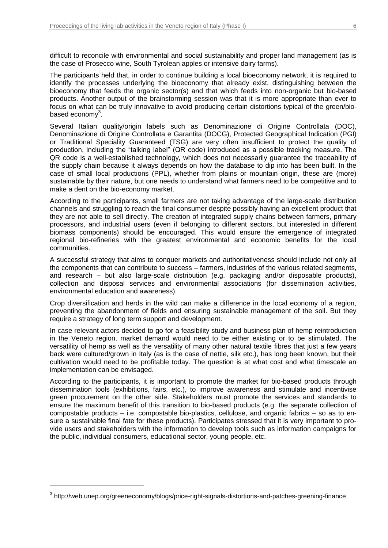difficult to reconcile with environmental and social sustainability and proper land management (as is the case of Prosecco wine, South Tyrolean apples or intensive dairy farms).

The participants held that, in order to continue building a local bioeconomy network, it is required to identify the processes underlying the bioeconomy that already exist, distinguishing between the bioeconomy that feeds the organic sector(s) and that which feeds into non-organic but bio-based products. Another output of the brainstorming session was that it is more appropriate than ever to focus on what can be truly innovative to avoid producing certain distortions typical of the green/biobased economy $^3$ .

Several Italian quality/origin labels such as Denominazione di Origine Controllata (DOC), Denominazione di Origine Controllata e Garantita (DOCG), Protected Geographical Indication (PGI) or Traditional Speciality Guaranteed (TSG) are very often insufficient to protect the quality of production, including the "talking label" (QR code) introduced as a possible tracking measure. The QR code is a well-established technology, which does not necessarily guarantee the traceability of the supply chain because it always depends on how the database to dip into has been built. In the case of small local productions (PPL), whether from plains or mountain origin, these are (more) sustainable by their nature, but one needs to understand what farmers need to be competitive and to make a dent on the bio-economy market.

According to the participants, small farmers are not taking advantage of the large-scale distribution channels and struggling to reach the final consumer despite possibly having an excellent product that they are not able to sell directly. The creation of integrated supply chains between farmers, primary processors, and industrial users (even if belonging to different sectors, but interested in different biomass components) should be encouraged. This would ensure the emergence of integrated regional bio-refineries with the greatest environmental and economic benefits for the local communities.

A successful strategy that aims to conquer markets and authoritativeness should include not only all the components that can contribute to success – farmers, industries of the various related segments, and research – but also large-scale distribution (e.g. packaging and/or disposable products), collection and disposal services and environmental associations (for dissemination activities, environmental education and awareness).

Crop diversification and herds in the wild can make a difference in the local economy of a region, preventing the abandonment of fields and ensuring sustainable management of the soil. But they require a strategy of long term support and development.

In case relevant actors decided to go for a feasibility study and business plan of hemp reintroduction in the Veneto region, market demand would need to be either existing or to be stimulated. The versatility of hemp as well as the versatility of many other natural textile fibres that just a few years back were cultured/grown in Italy (as is the case of nettle, silk etc.), has long been known, but their cultivation would need to be profitable today. The question is at what cost and what timescale an implementation can be envisaged.

According to the participants, it is important to promote the market for bio-based products through dissemination tools (exhibitions, fairs, etc.), to improve awareness and stimulate and incentivise green procurement on the other side. Stakeholders must promote the services and standards to ensure the maximum benefit of this transition to bio-based products (e.g. the separate collection of compostable products – i.e. compostable bio-plastics, cellulose, and organic fabrics – so as to ensure a sustainable final fate for these products). Participates stressed that it is very important to provide users and stakeholders with the information to develop tools such as information campaigns for the public, individual consumers, educational sector, young people, etc.

 $\overline{a}$ 

 $^3$  http://web.unep.org/greeneconomy/blogs/price-right-signals-distortions-and-patches-greening-finance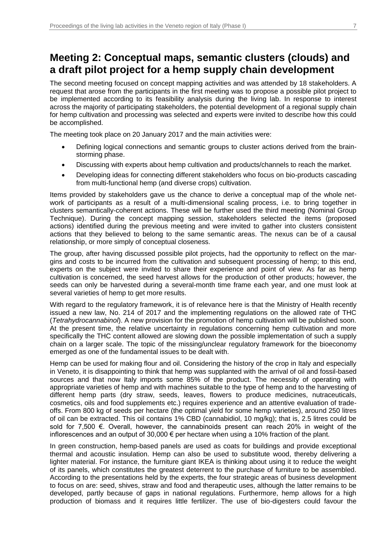# **Meeting 2: Conceptual maps, semantic clusters (clouds) and a draft pilot project for a hemp supply chain development**

The second meeting focused on concept mapping activities and was attended by 18 stakeholders. A request that arose from the participants in the first meeting was to propose a possible pilot project to be implemented according to its feasibility analysis during the living lab. In response to interest across the majority of participating stakeholders, the potential development of a regional supply chain for hemp cultivation and processing was selected and experts were invited to describe how this could be accomplished.

The meeting took place on 20 January 2017 and the main activities were:

- Defining logical connections and semantic groups to cluster actions derived from the brainstorming phase.
- Discussing with experts about hemp cultivation and products/channels to reach the market.
- Developing ideas for connecting different stakeholders who focus on bio-products cascading from multi-functional hemp (and diverse crops) cultivation.

Items provided by stakeholders gave us the chance to derive a conceptual map of the whole network of participants as a result of a multi-dimensional scaling process, i.e. to bring together in clusters semantically-coherent actions. These will be further used the third meeting (Nominal Group Technique). During the concept mapping session, stakeholders selected the items (proposed actions) identified during the previous meeting and were invited to gather into clusters consistent actions that they believed to belong to the same semantic areas. The nexus can be of a causal relationship, or more simply of conceptual closeness.

The group, after having discussed possible pilot projects, had the opportunity to reflect on the margins and costs to be incurred from the cultivation and subsequent processing of hemp; to this end, experts on the subject were invited to share their experience and point of view. As far as hemp cultivation is concerned, the seed harvest allows for the production of other products; however, the seeds can only be harvested during a several-month time frame each year, and one must look at several varieties of hemp to get more results.

With regard to the regulatory framework, it is of relevance here is that the Ministry of Health recently issued a new law, No. 214 of 2017 and the implementing regulations on the allowed rate of THC (*Tetrahydrocannabinol*). A new provision for the promotion of hemp cultivation will be published soon. At the present time, the relative uncertainty in regulations concerning hemp cultivation and more specifically the THC content allowed are slowing down the possible implementation of such a supply chain on a larger scale. The topic of the missing/unclear regulatory framework for the bioeconomy emerged as one of the fundamental issues to be dealt with.

Hemp can be used for making flour and oil. Considering the history of the crop in Italy and especially in Veneto, it is disappointing to think that hemp was supplanted with the arrival of oil and fossil-based sources and that now Italy imports some 85% of the product. The necessity of operating with appropriate varieties of hemp and with machines suitable to the type of hemp and to the harvesting of different hemp parts (dry straw, seeds, leaves, flowers to produce medicines, nutraceuticals, cosmetics, oils and food supplements etc.) requires experience and an attentive evaluation of tradeoffs. From 800 kg of seeds per hectare (the optimal yield for some hemp varieties), around 250 litres of oil can be extracted. This oil contains 1% CBD (cannabidiol, 10 mg/kg); that is, 2.5 litres could be sold for 7,500 €. Overall, however, the cannabinoids present can reach 20% in weight of the inflorescences and an output of 30,000 € per hectare when using a 10% fraction of the plant.

In green construction, hemp-based panels are used as coats for buildings and provide exceptional thermal and acoustic insulation. Hemp can also be used to substitute wood, thereby delivering a lighter material. For instance, the furniture giant IKEA is thinking about using it to reduce the weight of its panels, which constitutes the greatest deterrent to the purchase of furniture to be assembled. According to the presentations held by the experts, the four strategic areas of business development to focus on are: seed, shives, straw and food and therapeutic uses, although the latter remains to be developed, partly because of gaps in national regulations. Furthermore, hemp allows for a high production of biomass and it requires little fertilizer. The use of bio-digesters could favour the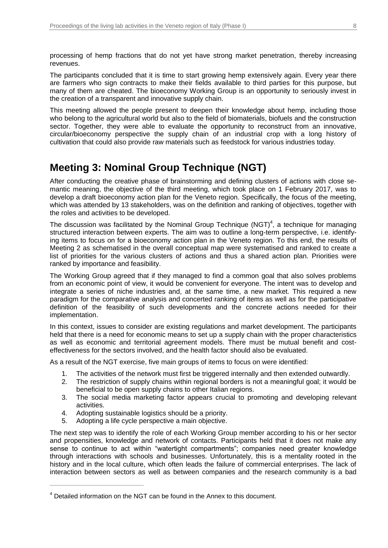processing of hemp fractions that do not yet have strong market penetration, thereby increasing revenues.

The participants concluded that it is time to start growing hemp extensively again. Every year there are farmers who sign contracts to make their fields available to third parties for this purpose, but many of them are cheated. The bioeconomy Working Group is an opportunity to seriously invest in the creation of a transparent and innovative supply chain.

This meeting allowed the people present to deepen their knowledge about hemp, including those who belong to the agricultural world but also to the field of biomaterials, biofuels and the construction sector. Together, they were able to evaluate the opportunity to reconstruct from an innovative, circular/bioeconomy perspective the supply chain of an industrial crop with a long history of cultivation that could also provide raw materials such as feedstock for various industries today.

# **Meeting 3: Nominal Group Technique (NGT)**

After conducting the creative phase of brainstorming and defining clusters of actions with close semantic meaning, the objective of the third meeting, which took place on 1 February 2017, was to develop a draft bioeconomy action plan for the Veneto region. Specifically, the focus of the meeting, which was attended by 13 stakeholders, was on the definition and ranking of objectives, together with the roles and activities to be developed.

The discussion was facilitated by the Nominal Group Technique (NGT)<sup>4</sup>, a technique for managing structured interaction between experts. The aim was to outline a long-term perspective, i.e. identifying items to focus on for a bioeconomy action plan in the Veneto region. To this end, the results of Meeting 2 as schematised in the overall conceptual map were systematised and ranked to create a list of priorities for the various clusters of actions and thus a shared action plan. Priorities were ranked by importance and feasibility.

The Working Group agreed that if they managed to find a common goal that also solves problems from an economic point of view, it would be convenient for everyone. The intent was to develop and integrate a series of niche industries and, at the same time, a new market. This required a new paradigm for the comparative analysis and concerted ranking of items as well as for the participative definition of the feasibility of such developments and the concrete actions needed for their implementation.

In this context, issues to consider are existing regulations and market development. The participants held that there is a need for economic means to set up a supply chain with the proper characteristics as well as economic and territorial agreement models. There must be mutual benefit and costeffectiveness for the sectors involved, and the health factor should also be evaluated.

As a result of the NGT exercise, five main groups of items to focus on were identified:

- 1. The activities of the network must first be triggered internally and then extended outwardly.
- 2. The restriction of supply chains within regional borders is not a meaningful goal; it would be beneficial to be open supply chains to other Italian regions.
- 3. The social media marketing factor appears crucial to promoting and developing relevant activities.
- 4. Adopting sustainable logistics should be a priority.
- 5. Adopting a life cycle perspective a main objective.

 $\overline{a}$ 

The next step was to identify the role of each Working Group member according to his or her sector and propensities, knowledge and network of contacts. Participants held that it does not make any sense to continue to act within "watertight compartments"; companies need greater knowledge through interactions with schools and businesses. Unfortunately, this is a mentality rooted in the history and in the local culture, which often leads the failure of commercial enterprises. The lack of interaction between sectors as well as between companies and the research community is a bad

<sup>&</sup>lt;sup>4</sup> Detailed information on the NGT can be found in the Annex to this document.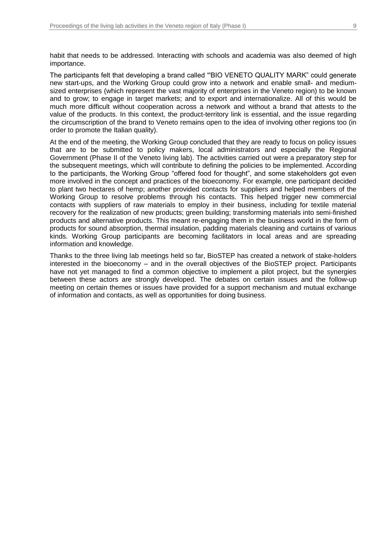habit that needs to be addressed. Interacting with schools and academia was also deemed of high importance.

The participants felt that developing a brand called "'BIO VENETO QUALITY MARK" could generate new start-ups, and the Working Group could grow into a network and enable small- and mediumsized enterprises (which represent the vast majority of enterprises in the Veneto region) to be known and to grow; to engage in target markets; and to export and internationalize. All of this would be much more difficult without cooperation across a network and without a brand that attests to the value of the products. In this context, the product-territory link is essential, and the issue regarding the circumscription of the brand to Veneto remains open to the idea of involving other regions too (in order to promote the Italian quality).

At the end of the meeting, the Working Group concluded that they are ready to focus on policy issues that are to be submitted to policy makers, local administrators and especially the Regional Government (Phase II of the Veneto living lab). The activities carried out were a preparatory step for the subsequent meetings, which will contribute to defining the policies to be implemented. According to the participants, the Working Group "offered food for thought", and some stakeholders got even more involved in the concept and practices of the bioeconomy. For example, one participant decided to plant two hectares of hemp; another provided contacts for suppliers and helped members of the Working Group to resolve problems through his contacts. This helped trigger new commercial contacts with suppliers of raw materials to employ in their business, including for textile material recovery for the realization of new products; green building; transforming materials into semi-finished products and alternative products. This meant re-engaging them in the business world in the form of products for sound absorption, thermal insulation, padding materials cleaning and curtains of various kinds. Working Group participants are becoming facilitators in local areas and are spreading information and knowledge.

Thanks to the three living lab meetings held so far, BioSTEP has created a network of stake-holders interested in the bioeconomy – and in the overall objectives of the BioSTEP project. Participants have not yet managed to find a common objective to implement a pilot project, but the synergies between these actors are strongly developed. The debates on certain issues and the follow-up meeting on certain themes or issues have provided for a support mechanism and mutual exchange of information and contacts, as well as opportunities for doing business.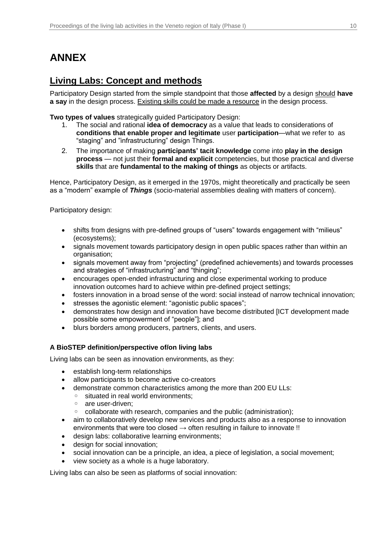# **ANNEX**

### **Living Labs: Concept and methods**

Participatory Design started from the simple standpoint that those **affected** by a design should **have a say** in the design process. Existing skills could be made a resource in the design process.

**Two types of values** strategically guided Participatory Design:

- 1. The social and rational **idea of democracy** as a value that leads to considerations of **conditions that enable proper and legitimate** user **participation**—what we refer to as "staging" and "infrastructuring" design Things.
- 2. The importance of making **participants' tacit knowledge** come into **play in the design process** — not just their **formal and explicit** competencies, but those practical and diverse **skills** that are **fundamental to the making of things** as objects or artifacts.

Hence, Participatory Design, as it emerged in the 1970s, might theoretically and practically be seen as a "modern" example of *Things* (socio-material assemblies dealing with matters of concern).

Participatory design:

- shifts from designs with pre-defined groups of "users" towards engagement with "milieus" (ecosystems);
- signals movement towards participatory design in open public spaces rather than within an organisation;
- signals movement away from "projecting" (predefined achievements) and towards processes and strategies of "infrastructuring" and "thinging";
- encourages open-ended infrastructuring and close experimental working to produce innovation outcomes hard to achieve within pre-defined project settings;
- fosters innovation in a broad sense of the word: social instead of narrow technical innovation;
- stresses the agonistic element: "agonistic public spaces";
- demonstrates how design and innovation have become distributed [ICT development made possible some empowerment of "people"]; and
- blurs borders among producers, partners, clients, and users.

### **A BioSTEP definition/perspective of/on living labs**

Living labs can be seen as innovation environments, as they:

- establish long-term relationships
- allow participants to become active co-creators
- demonstrate common characteristics among the more than 200 EU LLs:
	- situated in real world environments;
		- are user-driven;
		- collaborate with research, companies and the public (administration);
- aim to collaboratively develop new services and products also as a response to innovation environments that were too closed  $\rightarrow$  often resulting in failure to innovate !!
- design labs: collaborative learning environments;
- design for social innovation;
- social innovation can be a principle, an idea, a piece of legislation, a social movement;
- view society as a whole is a huge laboratory.

Living labs can also be seen as platforms of social innovation: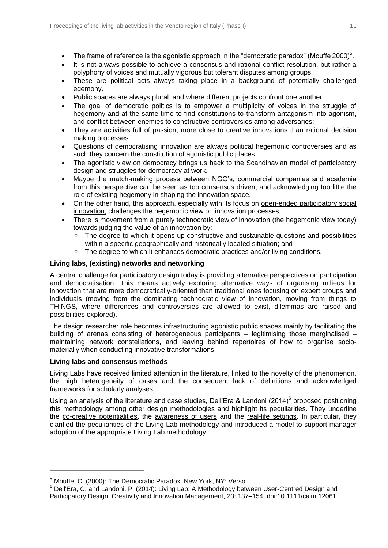- The frame of reference is the agonistic approach in the "democratic paradox" (Mouffe 2000)<sup>5</sup>.
- It is not always possible to achieve a consensus and rational conflict resolution, but rather a polyphony of voices and mutually vigorous but tolerant disputes among groups.
- These are political acts always taking place in a background of potentially challenged egemony.
- Public spaces are always plural, and where different projects confront one another.
- The goal of democratic politics is to empower a multiplicity of voices in the struggle of hegemony and at the same time to find constitutions to transform antagonism into agonism, and conflict between enemies to constructive controversies among adversaries;
- They are activities full of passion, more close to creative innovations than rational decision making processes.
- Questions of democratising innovation are always political hegemonic controversies and as such they concern the constitution of agonistic public places.
- The agonistic view on democracy brings us back to the Scandinavian model of participatory design and struggles for democracy at work.
- Maybe the match-making process between NGO's, commercial companies and academia from this perspective can be seen as too consensus driven, and acknowledging too little the role of existing hegemony in shaping the innovation space.
- On the other hand, this approach, especially with its focus on open-ended participatory social innovation, challenges the hegemonic view on innovation processes.
- There is movement from a purely technocratic view of innovation (the hegemonic view today) towards judging the value of an innovation by:
	- The degree to which it opens up constructive and sustainable questions and possibilities within a specific geographically and historically located situation; and
	- The degree to which it enhances democratic practices and/or living conditions.

### **Living labs, (existing) networks and networking**

A central challenge for participatory design today is providing alternative perspectives on participation and democratisation. This means actively exploring alternative ways of organising milieus for innovation that are more democratically-oriented than traditional ones focusing on expert groups and individuals (moving from the dominating technocratic view of innovation, moving from things to THINGS, where differences and controversies are allowed to exist, dilemmas are raised and possibilities explored).

The design researcher role becomes infrastructuring agonistic public spaces mainly by facilitating the building of arenas consisting of heterogeneous participants – legitimising those marginalised – maintaining network constellations, and leaving behind repertoires of how to organise sociomaterially when conducting innovative transformations.

### **Living labs and consensus methods**

 $\overline{a}$ 

Living Labs have received limited attention in the literature, linked to the novelty of the phenomenon, the high heterogeneity of cases and the consequent lack of definitions and acknowledged frameworks for scholarly analyses.

Using an analysis of the literature and case studies, Dell'Era & Landoni (2014)<sup>6</sup> proposed positioning this methodology among other design methodologies and highlight its peculiarities. They underline the co-creative potentialities, the awareness of users and the real-life settings. In particular, they clarified the peculiarities of the Living Lab methodology and introduced a model to support manager adoption of the appropriate Living Lab methodology.

<sup>5</sup> Mouffe, C. (2000): The Democratic Paradox. New York, NY: Verso.

<sup>&</sup>lt;sup>6</sup> Dell'Era, C. and Landoni, P. (2014): Living Lab: A Methodology between User-Centred Design and Participatory Design. Creativity and Innovation Management, 23: 137–154. doi:10.1111/caim.12061.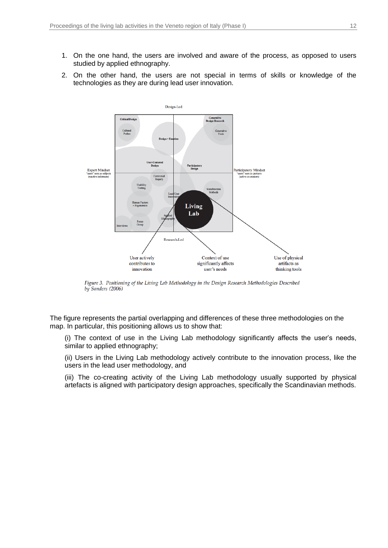- 1. On the one hand, the users are involved and aware of the process, as opposed to users studied by applied ethnography.
- 2. On the other hand, the users are not special in terms of skills or knowledge of the technologies as they are during lead user innovation.



Figure 3. Positioning of the Living Lab Methodology in the Design Research Methodologies Described by Sanders (2006)

The figure represents the partial overlapping and differences of these three methodologies on the map. In particular, this positioning allows us to show that:

(i) The context of use in the Living Lab methodology significantly affects the user's needs, similar to applied ethnography;

(ii) Users in the Living Lab methodology actively contribute to the innovation process, like the users in the lead user methodology, and

(iii) The co-creating activity of the Living Lab methodology usually supported by physical artefacts is aligned with participatory design approaches, specifically the Scandinavian methods.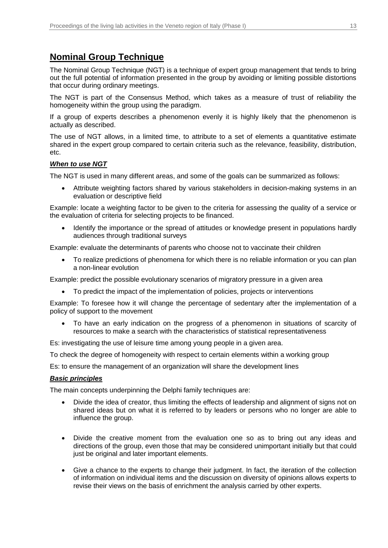### **Nominal Group Technique**

The Nominal Group Technique (NGT) is a technique of expert group management that tends to bring out the full potential of information presented in the group by avoiding or limiting possible distortions that occur during ordinary meetings.

The NGT is part of the Consensus Method, which takes as a measure of trust of reliability the homogeneity within the group using the paradigm.

If a group of experts describes a phenomenon evenly it is highly likely that the phenomenon is actually as described.

The use of NGT allows, in a limited time, to attribute to a set of elements a quantitative estimate shared in the expert group compared to certain criteria such as the relevance, feasibility, distribution, etc.

### *When to use NGT*

The NGT is used in many different areas, and some of the goals can be summarized as follows:

 Attribute weighting factors shared by various stakeholders in decision-making systems in an evaluation or descriptive field

Example: locate a weighting factor to be given to the criteria for assessing the quality of a service or the evaluation of criteria for selecting projects to be financed.

 Identify the importance or the spread of attitudes or knowledge present in populations hardly audiences through traditional surveys

Example: evaluate the determinants of parents who choose not to vaccinate their children

 To realize predictions of phenomena for which there is no reliable information or you can plan a non-linear evolution

Example: predict the possible evolutionary scenarios of migratory pressure in a given area

To predict the impact of the implementation of policies, projects or interventions

Example: To foresee how it will change the percentage of sedentary after the implementation of a policy of support to the movement

 To have an early indication on the progress of a phenomenon in situations of scarcity of resources to make a search with the characteristics of statistical representativeness

Es: investigating the use of leisure time among young people in a given area.

To check the degree of homogeneity with respect to certain elements within a working group

Es: to ensure the management of an organization will share the development lines

### *Basic principles*

The main concepts underpinning the Delphi family techniques are:

- Divide the idea of creator, thus limiting the effects of leadership and alignment of signs not on shared ideas but on what it is referred to by leaders or persons who no longer are able to influence the group.
- Divide the creative moment from the evaluation one so as to bring out any ideas and directions of the group, even those that may be considered unimportant initially but that could just be original and later important elements.
- Give a chance to the experts to change their judgment. In fact, the iteration of the collection of information on individual items and the discussion on diversity of opinions allows experts to revise their views on the basis of enrichment the analysis carried by other experts.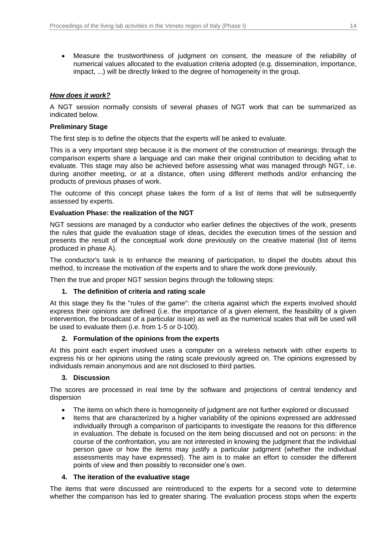Measure the trustworthiness of judgment on consent, the measure of the reliability of numerical values allocated to the evaluation criteria adopted (e.g. dissemination, importance, impact, ...) will be directly linked to the degree of homogeneity in the group.

### *How does it work?*

A NGT session normally consists of several phases of NGT work that can be summarized as indicated below.

### **Preliminary Stage**

The first step is to define the objects that the experts will be asked to evaluate.

This is a very important step because it is the moment of the construction of meanings: through the comparison experts share a language and can make their original contribution to deciding what to evaluate. This stage may also be achieved before assessing what was managed through NGT, i.e. during another meeting, or at a distance, often using different methods and/or enhancing the products of previous phases of work.

The outcome of this concept phase takes the form of a list of items that will be subsequently assessed by experts.

### **Evaluation Phase: the realization of the NGT**

NGT sessions are managed by a conductor who earlier defines the objectives of the work, presents the rules that guide the evaluation stage of ideas, decides the execution times of the session and presents the result of the conceptual work done previously on the creative material (list of items produced in phase A).

The conductor's task is to enhance the meaning of participation, to dispel the doubts about this method, to increase the motivation of the experts and to share the work done previously.

Then the true and proper NGT session begins through the following steps:

### **1. The definition of criteria and rating scale**

At this stage they fix the "rules of the game": the criteria against which the experts involved should express their opinions are defined (i.e. the importance of a given element, the feasibility of a given intervention, the broadcast of a particular issue) as well as the numerical scales that will be used will be used to evaluate them (i.e. from 1-5 or 0-100).

### **2. Formulation of the opinions from the experts**

At this point each expert involved uses a computer on a wireless network with other experts to express his or her opinions using the rating scale previously agreed on. The opinions expressed by individuals remain anonymous and are not disclosed to third parties.

### **3. Discussion**

The scores are processed in real time by the software and projections of central tendency and dispersion

- The items on which there is homogeneity of judgment are not further explored or discussed
- Items that are characterized by a higher variability of the opinions expressed are addressed individually through a comparison of participants to investigate the reasons for this difference in evaluation. The debate is focused on the item being discussed and not on persons: in the course of the confrontation, you are not interested in knowing the judgment that the individual person gave or how the items may justify a particular judgment (whether the individual assessments may have expressed). The aim is to make an effort to consider the different points of view and then possibly to reconsider one's own.

### **4. The iteration of the evaluative stage**

The items that were discussed are reintroduced to the experts for a second vote to determine whether the comparison has led to greater sharing. The evaluation process stops when the experts